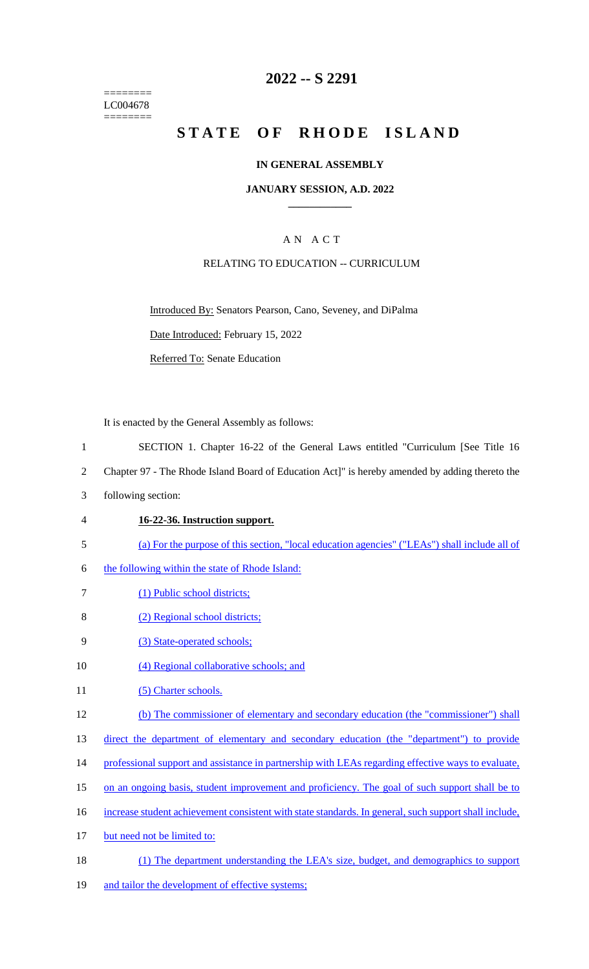======== LC004678 ========

### **2022 -- S 2291**

# **STATE OF RHODE ISLAND**

#### **IN GENERAL ASSEMBLY**

#### **JANUARY SESSION, A.D. 2022 \_\_\_\_\_\_\_\_\_\_\_\_**

### A N A C T

#### RELATING TO EDUCATION -- CURRICULUM

Introduced By: Senators Pearson, Cano, Seveney, and DiPalma Date Introduced: February 15, 2022

Referred To: Senate Education

It is enacted by the General Assembly as follows:

- 1 SECTION 1. Chapter 16-22 of the General Laws entitled "Curriculum [See Title 16
- 2 Chapter 97 The Rhode Island Board of Education Act]" is hereby amended by adding thereto the
- 3 following section:
- 4 **16-22-36. Instruction support.**
- 5 (a) For the purpose of this section, "local education agencies" ("LEAs") shall include all of
- 6 the following within the state of Rhode Island:
- 7 (1) Public school districts;
- 8 (2) Regional school districts;
- 9 (3) State-operated schools;
- 10 (4) Regional collaborative schools; and
- 11 (5) Charter schools.
- 12 (b) The commissioner of elementary and secondary education (the "commissioner") shall
- 13 direct the department of elementary and secondary education (the "department") to provide
- 14 professional support and assistance in partnership with LEAs regarding effective ways to evaluate,
- 15 on an ongoing basis, student improvement and proficiency. The goal of such support shall be to
- 16 increase student achievement consistent with state standards. In general, such support shall include,
- 17 but need not be limited to:
- 18 (1) The department understanding the LEA's size, budget, and demographics to support
- 19 and tailor the development of effective systems;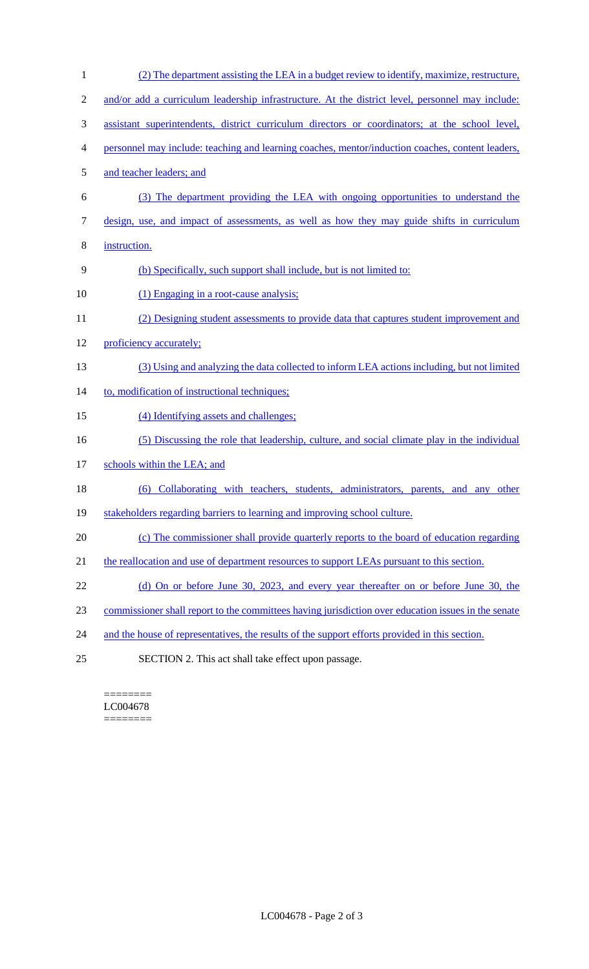(2) The department assisting the LEA in a budget review to identify, maximize, restructure, 2 and/or add a curriculum leadership infrastructure. At the district level, personnel may include: assistant superintendents, district curriculum directors or coordinators; at the school level, personnel may include: teaching and learning coaches, mentor/induction coaches, content leaders, and teacher leaders; and (3) The department providing the LEA with ongoing opportunities to understand the design, use, and impact of assessments, as well as how they may guide shifts in curriculum instruction. (b) Specifically, such support shall include, but is not limited to: 10 (1) Engaging in a root-cause analysis; (2) Designing student assessments to provide data that captures student improvement and 12 proficiency accurately; (3) Using and analyzing the data collected to inform LEA actions including, but not limited 14 to, modification of instructional techniques; 15 (4) Identifying assets and challenges; (5) Discussing the role that leadership, culture, and social climate play in the individual 17 schools within the LEA; and (6) Collaborating with teachers, students, administrators, parents, and any other stakeholders regarding barriers to learning and improving school culture. 20 (c) The commissioner shall provide quarterly reports to the board of education regarding 21 the reallocation and use of department resources to support LEAs pursuant to this section. (d) On or before June 30, 2023, and every year thereafter on or before June 30, the commissioner shall report to the committees having jurisdiction over education issues in the senate 24 and the house of representatives, the results of the support efforts provided in this section. SECTION 2. This act shall take effect upon passage.

======== LC004678 ========